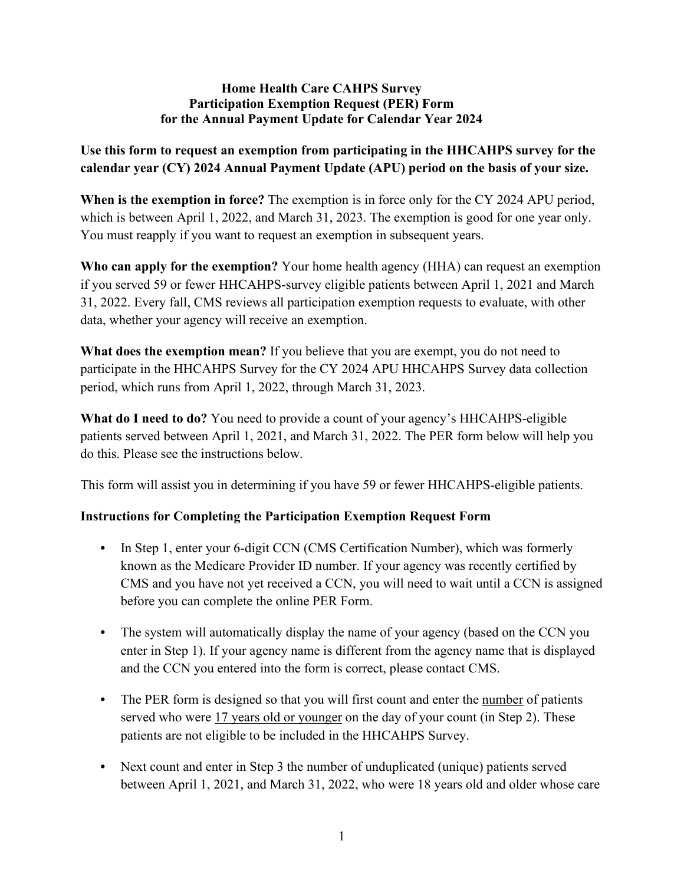## **Home Health Care CAHPS Survey Participation Exemption Request (PER) Form for the Annual Payment Update for Calendar Year 2024**

## **Use this form to request an exemption from participating in the HHCAHPS survey for the calendar year (CY) 2024 Annual Payment Update (APU) period on the basis of your size.**

**When is the exemption in force?** The exemption is in force only for the CY 2024 APU period, which is between April 1, 2022, and March 31, 2023. The exemption is good for one year only. You must reapply if you want to request an exemption in subsequent years.

**Who can apply for the exemption?** Your home health agency (HHA) can request an exemption if you served 59 or fewer HHCAHPS-survey eligible patients between April 1, 2021 and March 31, 2022. Every fall, CMS reviews all participation exemption requests to evaluate, with other data, whether your agency will receive an exemption.

**What does the exemption mean?** If you believe that you are exempt, you do not need to participate in the HHCAHPS Survey for the CY 2024 APU HHCAHPS Survey data collection period, which runs from April 1, 2022, through March 31, 2023.

**What do I need to do?** You need to provide a count of your agency's HHCAHPS-eligible patients served between April 1, 2021, and March 31, 2022. The PER form below will help you do this. Please see the instructions below.

This form will assist you in determining if you have 59 or fewer HHCAHPS-eligible patients.

## **Instructions for Completing the Participation Exemption Request Form**

- **•** In Step 1, enter your 6-digit CCN (CMS Certification Number), which was formerly known as the Medicare Provider ID number. If your agency was recently certified by CMS and you have not yet received a CCN, you will need to wait until a CCN is assigned before you can complete the online PER Form.
- The system will automatically display the name of your agency (based on the CCN you enter in Step 1). If your agency name is different from the agency name that is displayed and the CCN you entered into the form is correct, please contact CMS.
- The PER form is designed so that you will first count and enter the number of patients served who were 17 years old or younger on the day of your count (in Step 2). These patients are not eligible to be included in the HHCAHPS Survey.
- **•** Next count and enter in Step 3 the number of unduplicated (unique) patients served between April 1, 2021, and March 31, 2022, who were 18 years old and older whose care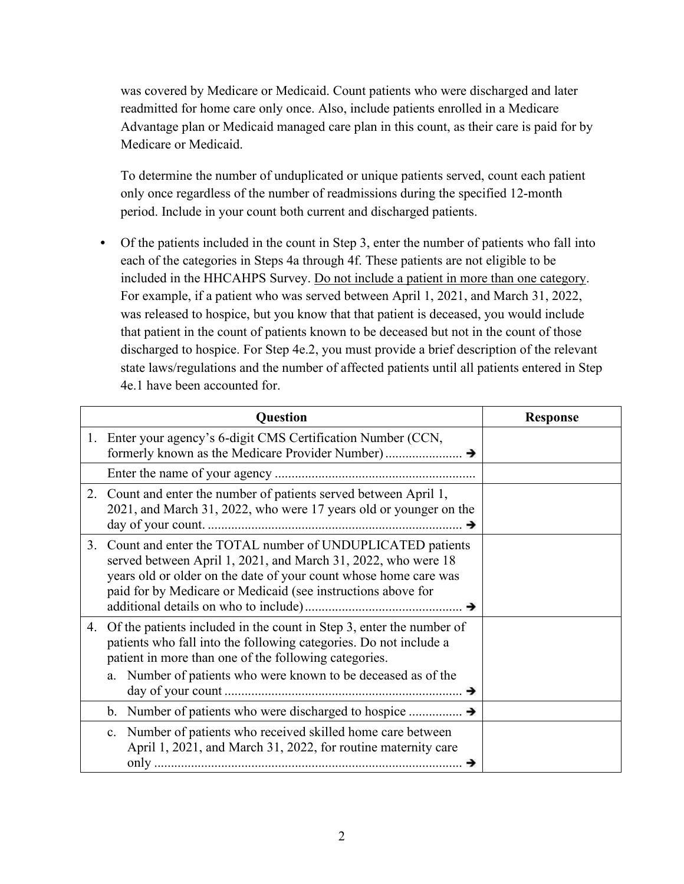was covered by Medicare or Medicaid. Count patients who were discharged and later readmitted for home care only once. Also, include patients enrolled in a Medicare Advantage plan or Medicaid managed care plan in this count, as their care is paid for by Medicare or Medicaid.

To determine the number of unduplicated or unique patients served, count each patient only once regardless of the number of readmissions during the specified 12-month period. Include in your count both current and discharged patients.

**•** Of the patients included in the count in Step 3, enter the number of patients who fall into each of the categories in Steps 4a through 4f. These patients are not eligible to be included in the HHCAHPS Survey. Do not include a patient in more than one category. For example, if a patient who was served between April 1, 2021, and March 31, 2022, was released to hospice, but you know that that patient is deceased, you would include that patient in the count of patients known to be deceased but not in the count of those discharged to hospice. For Step 4e.2, you must provide a brief description of the relevant state laws/regulations and the number of affected patients until all patients entered in Step 4e.1 have been accounted for.

|    | <b>Question</b>                                                                                                                                                                                                                                                        | <b>Response</b> |
|----|------------------------------------------------------------------------------------------------------------------------------------------------------------------------------------------------------------------------------------------------------------------------|-----------------|
|    | 1. Enter your agency's 6-digit CMS Certification Number (CCN,                                                                                                                                                                                                          |                 |
|    |                                                                                                                                                                                                                                                                        |                 |
|    | 2. Count and enter the number of patients served between April 1,<br>2021, and March 31, 2022, who were 17 years old or younger on the                                                                                                                                 |                 |
| 3. | Count and enter the TOTAL number of UNDUPLICATED patients<br>served between April 1, 2021, and March 31, 2022, who were 18<br>years old or older on the date of your count whose home care was<br>paid for by Medicare or Medicaid (see instructions above for         |                 |
| 4. | Of the patients included in the count in Step 3, enter the number of<br>patients who fall into the following categories. Do not include a<br>patient in more than one of the following categories.<br>Number of patients who were known to be deceased as of the<br>a. |                 |
|    |                                                                                                                                                                                                                                                                        |                 |
|    | Number of patients who received skilled home care between<br>$c_{\cdot}$<br>April 1, 2021, and March 31, 2022, for routine maternity care                                                                                                                              |                 |